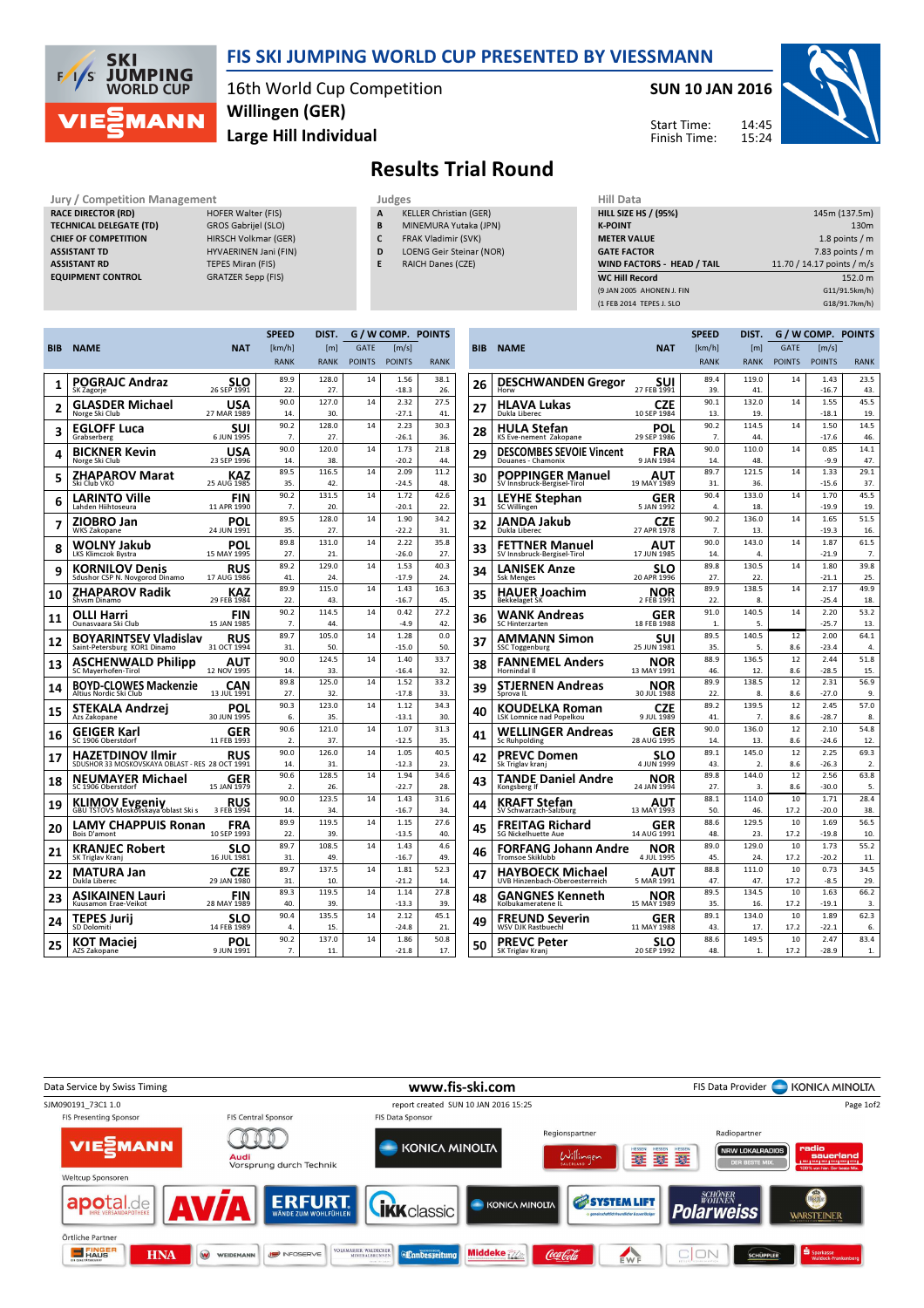

### FIS SKI JUMPING WORLD CUP PRESENTED BY VIESSMANN

16th World Cup Competition Large Hill Individual Willingen (GER)

SUN 10 JAN 2016

Start Time: Finish Time:



# Results Trial Round

#### Jury / Competition Management Judges<br>
RACE DIRECTOR (RD) HOFER Walter (FIS) A KE RACE DIRECTOR (RD) TECHNICAL DELEGATE (TD) GROS Gabrijel (SLO) CHIEF OF COMPETITION HIRSCH Volkmar (GER) ASSISTANT TD HYVAERINEN Jani (FIN) ASSISTANT RD TEPES Miran (FIS)

EQUIPMENT CONTROL GRATZER Sepp (FIS)

- KELLER Christian (GER)
- B MINEMURA Yutaka (JPN)
- C FRAK Vladimir (SVK)
- D LOENG Geir Steinar (NOR)
- E RAICH Danes (CZE)

×

| Hill Data                         |                            |
|-----------------------------------|----------------------------|
| <b>HILL SIZE HS / (95%)</b>       | 145m (137.5m)              |
| <b>K-POINT</b>                    | 130 <sub>m</sub>           |
| <b>METER VALUE</b>                | 1.8 points $/m$            |
| <b>GATE FACTOR</b>                | 7.83 points $/m$           |
| <b>WIND FACTORS - HEAD / TAIL</b> | 11.70 / 14.17 points / m/s |
| <b>WC Hill Record</b>             | 152.0 m                    |
| (9 JAN 2005 AHONEN J. FIN         | G11/91.5km/h)              |
| (1 FEB 2014 TEPES J. SLO          | G18/91.7km/h)              |
|                                   |                            |

|     |                                                              |                           | <b>SPEED</b> | DIST.            | G / W COMP. POINTS |                 |             |    |
|-----|--------------------------------------------------------------|---------------------------|--------------|------------------|--------------------|-----------------|-------------|----|
| BIB | <b>NAME</b>                                                  | <b>NAT</b>                | [km/h]       | [ <sub>m</sub> ] | <b>GATE</b>        | [m/s]           |             | BI |
|     |                                                              |                           | <b>RANK</b>  | <b>RANK</b>      | <b>POINTS</b>      | <b>POINTS</b>   | <b>RANK</b> |    |
| 1   | POGRAJC Andraz                                               | SLO                       | 89.9         | 128.0            | 14                 | 1.56            | 38.1        | 2  |
|     | SK Zagorje                                                   | 26 SEP 1991               | 22.          | 27.              |                    | $-18.3$         | 26.         |    |
| 2   | <b>GLASDER Michael</b>                                       | USA                       | 90.0         | 127.0            | 14                 | 2.32            | 27.5        | 2. |
|     | Norge Ski Club                                               | 27 MAR 1989               | 14.<br>90.2  | 30.<br>128.0     | 14                 | $-27.1$<br>2.23 | 41.<br>30.3 |    |
| 3   | <b>EGLOFF Luca</b><br>Grabserberg                            | SUI<br>6 JUN 1995         | 7.           | 27.              |                    | $-26.1$         | 36.         | 2١ |
| 4   | BICKNER Kevin                                                | USA                       | 90.0         | 120.0            | 14                 | 1.73            | 21.8        |    |
|     | Norge Ski Club                                               | 23 SEP 1996               | 14.          | 38.              |                    | $-20.2$         | 44.         | 29 |
| 5   | ZHAPAROV Marat<br>Ski Club VKO                               | KAZ<br>25 AUG 1985        | 89.5<br>35.  | 116.5<br>42.     | 14                 | 2.09<br>$-24.5$ | 11.2<br>48. | 3  |
|     |                                                              |                           | 90.2         | 131.5            | 14                 | 1.72            | 42.6        |    |
| 6   | LARINTO Ville<br>Lahden Hiihtoseura                          | <b>FIN</b><br>11 APR 1990 | 7.           | 20.              |                    | $-20.1$         | 22.         | 3. |
| 7   | ZIOBRO Jan                                                   | POL                       | 89.5         | 128.0            | 14                 | 1.90            | 34.2        | 3. |
|     | <b>WKS Zakopane</b>                                          | 24 JUN 1991               | 35.          | 27.              |                    | $-22.2$         | 31.         |    |
| 8   | WOLNY Jakub                                                  | POL                       | 89.8         | 131.0            | 14                 | 2.22            | 35.8        | 3. |
|     | <b>LKS Klimczok Bystra</b>                                   | 15 MAY 1995               | 27.<br>89.2  | 21.<br>129.0     | 14                 | $-26.0$<br>1.53 | 27.<br>40.3 |    |
| 9   | KORNILOV Denis<br>Sdushor CSP N. Novgorod Dinamo             | <b>RUS</b><br>17 AUG 1986 | 41.          | 24.              |                    | $-17.9$         | 24.         | 3, |
|     |                                                              |                           | 89.9         | 115.0            | 14                 | 1.43            | 16.3        |    |
| 10  | ZHAPAROV Radik<br>Shysm Dinamo                               | KAZ<br>29 FEB 1984        | 22.          | 43.              |                    | $-16.7$         | 45.         | 3! |
| 11  | OLLI Harri                                                   | FIN                       | 90.2         | 114.5            | 14                 | 0.42            | 27.2        | 31 |
|     | Ounasyaara Ski Club                                          | 15 JAN 1985               | 7.           | 44.              |                    | $-4.9$          | 42.         |    |
| 12  | <b>BOYARINTSEV Vladislav</b>                                 | RUS                       | 89.7         | 105.0            | 14                 | 1.28            | 0.0         | З. |
|     | Saint-Petersburg KOR1 Dinamo                                 | 31 OCT 1994               | 31.<br>90.0  | 50.<br>124.5     | 14                 | $-15.0$<br>1.40 | 50.<br>33.7 |    |
| 13  | <b>ASCHENWALD Philipp</b><br>SC Mayerhofen-Tirol             | <b>AUT</b><br>12 NOV 1995 | 14.          | 33.              |                    | $-16.4$         | 32.         | 31 |
| 14  | <b>BOYD-CLOWES Mackenzie</b>                                 | CAN                       | 89.8         | 125.0            | 14                 | 1.52            | 33.2        | 39 |
|     | Altius Nordic Ski Club                                       | 13 JUL 1991               | 27.          | 32.              |                    | $-17.8$         | 33.         |    |
| 15  | STEKALA Andrzej                                              | POL<br>30 JUN 1995        | 90.3         | 123.0<br>35.     | 14                 | 1.12<br>$-13.1$ | 34.3<br>30. | 4  |
|     | Azs Zakopane                                                 |                           | 6.<br>90.6   | 121.0            | 14                 | 1.07            | 31.3        |    |
| 16  | <b>GEIGER Karl</b><br>SC 1906 Oberstdorf                     | GER<br>11 FEB 1993        | 2.           | 37.              |                    | $-12.5$         | 35.         | 4. |
| 17  | HAZETDINOV Ilmir                                             | RUS                       | 90.0         | 126.0            | 14                 | 1.05            | 40.5        | 4. |
|     | SDUSHOR 33 MOSKOVSKAYA OBLAST - RES 28 OCT 1991              |                           | 14.          | 31.              |                    | $-12.3$         | 23.         |    |
| 18  | NEUMAYER Michael                                             | GER                       | 90.6         | 128.5            | 14                 | 1.94            | 34.6        | 4. |
|     | SC 1906 Oberstdorf                                           | 15 JAN 1979               | 2.           | 26.              |                    | $-22.7$         | 28.         |    |
| 19  | <b>KLIMOV Evgeniy</b><br>GBU TSTOVS Moskovskaya oblast Ski s | RUS<br>3 FEB 1994         | 90.0<br>14.  | 123.5<br>34.     | 14                 | 1.43<br>$-16.7$ | 31.6<br>34. | 4  |
|     | LAMY CHAPPUIS Ronan                                          | FRA                       | 89.9         | 119.5            | 14                 | 1.15            | 27.6        |    |
| 20  | <b>Bois D'amont</b>                                          | 10 SEP 1993               | 22.          | 39.              |                    | $-13.5$         | 40.         | 4! |
| 21  | KRANJEC Robert                                               | SLO                       | 89.7         | 108.5            | 14                 | 1.43            | 4.6         | 4  |
|     | SK Triglav Kranj                                             | 16 JUL 1981               | 31.          | 49.              |                    | $-16.7$         | 49.         |    |
| 22  | <b>MATURA Jan</b><br>Dukla Liberec                           | CZE<br>29 JAN 1980        | 89.7<br>31.  | 137.5<br>10.     | 14                 | 1.81<br>$-21.2$ | 52.3<br>14. | 41 |
|     |                                                              |                           | 89.3         | 119.5            | 14                 | 1.14            | 27.8        |    |
| 23  | ASIKAINEN Lauri<br>Kuusamon Erae-Veikot                      | FIN<br>28 MAY 1989        | 40.          | 39.              |                    | $-13.3$         | 39.         | 48 |
| 24  | <b>TEPES Jurij</b>                                           | SLO                       | 90.4         | 135.5            | 14                 | 2.12            | 45.1        |    |
|     | SD Dolomiti                                                  | 14 FEB 1989               | 4.           | 15.              |                    | $-24.8$         | 21.         | 49 |
| 25  | KOT Maciei                                                   | POL                       | 90.2         | 137.0            | 14                 | 1.86            | 50.8        | 5( |
|     | AZS Zakopane                                                 | 9 JUN 1991                | 7.           | 11.              |                    | $-21.8$         | 17.         |    |

|     |                                               |                           | <b>SPEED</b> | DIST.                   |               | G / W COMP. POINTS |             |
|-----|-----------------------------------------------|---------------------------|--------------|-------------------------|---------------|--------------------|-------------|
| BIB | <b>NAME</b>                                   | <b>NAT</b>                | [km/h]       | [ <sub>m</sub> ]        | GATF          | [m/s]              |             |
|     |                                               |                           | <b>RANK</b>  | <b>RANK</b>             | <b>POINTS</b> | <b>POINTS</b>      | <b>RANK</b> |
| 26  | <b>DESCHWANDEN Gregor</b>                     | suı                       | 89.4         | 119.0                   | 14            | 1.43               | 23.5        |
|     | Horw                                          | 27 FEB 1991               | 39           | 41.                     |               | $-16.7$            | 43.         |
| 27  | HLAVA Lukas                                   | CZE                       | 90.1         | 132.0                   | 14            | 1.55               | 45.5        |
|     | Dukla Liberec                                 | 10 SEP 1984               | 13.          | 19.                     |               | $-18.1$            | 19.         |
| 28  | HULA Stefan<br>KS Eve-nement Zakopane         | POL<br>29 SEP 1986        | 90.2<br>7.   | 114.5<br>44.            | 14            | 1.50<br>$-17.6$    | 14.5<br>46. |
|     | <b>DESCOMBES SEVOIE Vincent</b>               | FRA                       | 90.0         | 110.0                   | 14            | 0.85               | 14.1        |
| 29  | Douanes - Chamonix                            | 9 JAN 1984                | 14.          | 48.                     |               | $-9.9$             | 47.         |
| 30  | POPPINGER Manuel                              | AUT                       | 89.7         | 121.5                   | 14            | 1.33               | 29.1        |
|     | SV Innsbruck-Bergisel-Tirol                   | 19 MAY 1989               | 31.          | 36.                     |               | $-15.6$            | 37.         |
| 31  | LEYHE Stephan                                 | GER                       | 90.4         | 133.0                   | 14            | 1.70               | 45.5        |
|     | SC Willingen                                  | 5 JAN 1992                | 4.           | 18.                     |               | $-19.9$            | 19.         |
| 32  | JANDA Jakub                                   | CZE                       | 90.2         | 136.0                   | 14            | 1.65               | 51.5        |
|     | Dukla Liberec                                 | 27 APR 1978               | 7.           | 13.                     |               | $-19.3$            | 16.         |
| 33  | <b>FETTNER Manuel</b>                         | AUT                       | 90.0         | 143.0                   | 14            | 1.87               | 61.5        |
|     | SV Innsbruck-Bergisel-Tirol                   | 17 JUN 1985               | 14.<br>89.8  | 4.<br>130.5             | 14            | $-21.9$<br>1.80    | 7.<br>39.8  |
| 34  | LANISEK Anze<br><b>Ssk Menges</b>             | SLO<br>20 APR 1996        | 27.          | 22.                     |               | $-21.1$            | 25.         |
|     |                                               |                           | 89.9         | 138.5                   | 14            | 2.17               | 49.9        |
| 35  | HAUER Joachim<br><b>Bekkelaget SK</b>         | NOR<br>2 FEB 1991         | 22.          | 8.                      |               | $-25.4$            | 18.         |
|     |                                               |                           | 91.0         | 140.5                   | 14            | 2.20               | 53.2        |
| 36  | <b>WANK Andreas</b><br><b>SC Hinterzarten</b> | GER<br>18 FEB 1988        | 1.           | 5.                      |               | $-25.7$            | 13.         |
|     | AMMANN Simon                                  | suı                       | 89.5         | 140.5                   | 12            | 2.00               | 64.1        |
| 37  | <b>SSC Toggenburg</b>                         | 25 JUN 1981               | 35.          | 5.                      | 8.6           | $-23.4$            | 4.          |
|     | <b>FANNEMEL Anders</b>                        | NOR                       | 88.9         | 136.5                   | 12            | 2.44               | 51.8        |
| 38  | Hornindal II                                  | 13 MAY 1991               | 46.          | 12.                     | 8.6           | $-28.5$            | 15.         |
| 39  | STJERNEN Andreas                              | NOR                       | 89.9         | 138.5                   | 12            | 2.31               | 56.9        |
|     | Sprova IL                                     | 30 JUL 1988               | 22.          | 8.                      | 8.6           | $-27.0$            | 9.          |
| 40  | KOUDELKA Roman                                | CZE                       | 89.2         | 139.5                   | 12            | 2.45               | 57.0        |
|     | <b>LSK Lomnice nad Popelkou</b>               | 9 JUL 1989                | 41.          | 7.                      | 8.6           | $-28.7$            | 8.          |
| 41  | <b>WELLINGER Andreas</b>                      | GER                       | 90.0         | 136.0                   | 12            | 2.10               | 54.8        |
|     | Sc Ruhpolding                                 | 28 AUG 1995               | 14.          | 13.                     | 8.6           | $-24.6$            | 12.         |
| 42  | <b>PREVC Domen</b>                            | SLO                       | 89.1         | 145.0                   | 12            | 2.25               | 69.3        |
|     | Sk Triglav kranj                              | 4 JUN 1999                | 43.<br>89.8  | $\overline{2}$<br>144.0 | 8.6<br>12     | $-26.3$<br>2.56    | 2.<br>63.8  |
| 43  | <b>TANDE Daniel Andre</b><br>Kongsberg If     | <b>NOR</b><br>24 JAN 1994 | 27.          | 3.                      | 8.6           | $-30.0$            | 5.          |
|     |                                               |                           | 88.1         | 114.0                   | 10            | 1.71               | 28.4        |
| 44  | KRAFT Stefan<br>SV Schwarzach-Salzburg        | AUT<br>13 MAY 1993        | 50.          | 46.                     | 17.2          | $-20.0$            | 38.         |
|     | FREITAG Richard                               |                           | 88.6         | 129.5                   | 10            | 1.69               | 56.5        |
| 45  | <b>SG Nickelhuette Aue</b>                    | GER<br>14 AUG 1991        | 48.          | 23.                     | 17.2          | $-19.8$            | 10.         |
|     | <b>FORFANG Johann Andre</b>                   | NOR                       | 89.0         | 129.0                   | 10            | 1.73               | 55.2        |
| 46  | <b>Tromsoe Skiklubb</b>                       | 4 JUL 1995                | 45.          | 24                      | 17.2          | $-20.2$            | 11.         |
|     | HAYBOECK Michael                              | AUT                       | 88.8         | 111.0                   | 10            | 0.73               | 34.5        |
| 47  | UVB Hinzenbach-Oberoesterreich                | 5 MAR 1991                | 47.          | 47.                     | 17.2          | $-8.5$             | 29.         |
| 48  | GANGNES Kenneth                               | NOR                       | 89.5         | 134.5                   | 10            | 1.63               | 66.2        |
|     | Kolbukameratene IL                            | 15 MAY 1989               | 35.          | 16.                     | 17.2          | $-19.1$            | 3.          |
| 49  | FREUND Severin                                | GER                       | 89.1         | 134.0                   | 10            | 1.89               | 62.3        |
|     | WSV DJK Rastbuechl                            | 11 MAY 1988               | 43.          | 17.                     | 17.2          | $-22.1$            | 6.          |
| 50  | PREVC Peter                                   | SLO                       | 88.6         | 149.5                   | 10            | 2.47               | 83.4        |
|     | SK Triglav Kranj                              | 20 SEP 1992               | 48.          | 1.                      | 17.2          | $-28.9$            | 1.          |